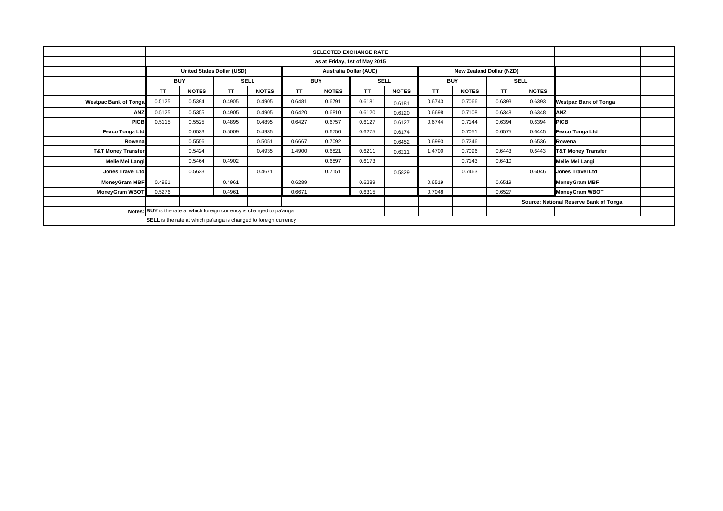|                               | <b>SELECTED EXCHANGE RATE</b>                                          |                            |             |                                                                  |            |              |             |              |            |              |           |              |                                        |  |
|-------------------------------|------------------------------------------------------------------------|----------------------------|-------------|------------------------------------------------------------------|------------|--------------|-------------|--------------|------------|--------------|-----------|--------------|----------------------------------------|--|
|                               |                                                                        |                            |             |                                                                  |            |              |             |              |            |              |           |              |                                        |  |
|                               |                                                                        | United States Dollar (USD) |             |                                                                  |            |              |             |              |            |              |           |              |                                        |  |
|                               | <b>BUY</b>                                                             |                            | <b>SELL</b> |                                                                  | <b>BUY</b> |              | <b>SELL</b> |              | <b>BUY</b> |              |           | <b>SELL</b>  |                                        |  |
|                               | ΤT                                                                     | <b>NOTES</b>               | <b>TT</b>   | <b>NOTES</b>                                                     | ΤT         | <b>NOTES</b> | <b>TT</b>   | <b>NOTES</b> | <b>TT</b>  | <b>NOTES</b> | <b>TT</b> | <b>NOTES</b> |                                        |  |
| <b>Westpac Bank of Tonga</b>  | 0.5125                                                                 | 0.5394                     | 0.4905      | 0.4905                                                           | 0.6481     | 0.6791       | 0.6181      | 0.6181       | 0.6743     | 0.7066       | 0.6393    | 0.6393       | <b>Westpac Bank of Tonga</b>           |  |
| ANZ                           | 0.5125                                                                 | 0.5355                     | 0.4905      | 0.4905                                                           | 0.6420     | 0.6810       | 0.6120      | 0.6120       | 0.6698     | 0.7108       | 0.6348    | 0.6348       | <b>ANZ</b>                             |  |
| <b>PICB</b>                   | 0.5115                                                                 | 0.5525                     | 0.4895      | 0.4895                                                           | 0.6427     | 0.6757       | 0.6127      | 0.6127       | 0.6744     | 0.7144       | 0.6394    | 0.6394       | <b>PICB</b>                            |  |
| <b>Fexco Tonga Ltd</b>        |                                                                        | 0.0533                     | 0.5009      | 0.4935                                                           |            | 0.6756       | 0.6275      | 0.6174       |            | 0.7051       | 0.6575    | 0.6445       | <b>Fexco Tonga Ltd</b>                 |  |
| Rowena                        |                                                                        | 0.5556                     |             | 0.5051                                                           | 0.6667     | 0.7092       |             | 0.6452       | 0.6993     | 0.7246       |           | 0.6536       | Rowena                                 |  |
| <b>T&amp;T Money Transfer</b> |                                                                        | 0.5424                     |             | 0.4935                                                           | 1.4900     | 0.6821       | 0.6211      | 0.6211       | 1.4700     | 0.7096       | 0.6443    | 0.6443       | <b>T&amp;T Money Transfer</b>          |  |
| Melie Mei Langi               |                                                                        | 0.5464                     | 0.4902      |                                                                  |            | 0.6897       | 0.6173      |              |            | 0.7143       | 0.6410    |              | Melie Mei Langi                        |  |
| <b>Jones Travel Ltd</b>       |                                                                        | 0.5623                     |             | 0.4671                                                           |            | 0.7151       |             | 0.5829       |            | 0.7463       |           | 0.6046       | <b>Jones Travel Ltd</b>                |  |
| <b>MoneyGram MBF</b>          | 0.4961                                                                 |                            | 0.4961      |                                                                  | 0.6289     |              | 0.6289      |              | 0.6519     |              | 0.6519    |              | <b>MoneyGram MBF</b>                   |  |
| <b>MoneyGram WBOT</b>         | 0.5276                                                                 |                            | 0.4961      |                                                                  | 0.6671     |              | 0.6315      |              | 0.7048     |              | 0.6527    |              | <b>MoneyGram WBOT</b>                  |  |
|                               |                                                                        |                            |             |                                                                  |            |              |             |              |            |              |           |              | Source: National Reserve Bank of Tonga |  |
|                               | Notes: BUY is the rate at which foreign currency is changed to pa'anga |                            |             |                                                                  |            |              |             |              |            |              |           |              |                                        |  |
|                               |                                                                        |                            |             | SELL is the rate at which pa'anga is changed to foreign currency |            |              |             |              |            |              |           |              |                                        |  |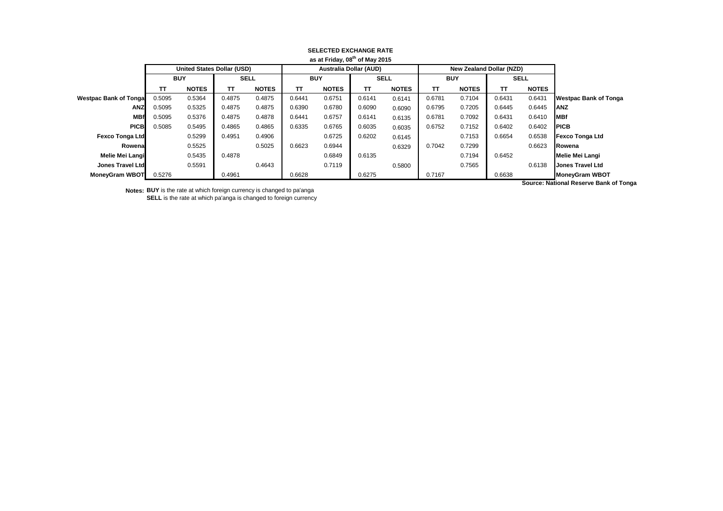| as at Friday, 08" of May 2015 |                                   |              |             |              |                               |              |             |              |                                 |              |        |              |                         |
|-------------------------------|-----------------------------------|--------------|-------------|--------------|-------------------------------|--------------|-------------|--------------|---------------------------------|--------------|--------|--------------|-------------------------|
|                               | <b>United States Dollar (USD)</b> |              |             |              | <b>Australia Dollar (AUD)</b> |              |             |              | <b>New Zealand Dollar (NZD)</b> |              |        |              |                         |
|                               | <b>BUY</b>                        |              | <b>SELL</b> |              | <b>BUY</b>                    |              | <b>SELL</b> |              | <b>BUY</b>                      |              | SELL   |              |                         |
|                               | тт                                | <b>NOTES</b> | π           | <b>NOTES</b> | TΤ                            | <b>NOTES</b> | TT.         | <b>NOTES</b> | <b>TT</b>                       | <b>NOTES</b> | TΤ     | <b>NOTES</b> |                         |
| <b>Westpac Bank of Tongal</b> | 0.5095                            | 0.5364       | 0.4875      | 0.4875       | 0.6441                        | 0.6751       | 0.6141      | 0.6141       | 0.6781                          | 0.7104       | 0.6431 | 0.6431       | Westpac Bank of Tonga   |
| ANZ                           | 0.5095                            | 0.5325       | 0.4875      | 0.4875       | 0.6390                        | 0.6780       | 0.6090      | 0.6090       | 0.6795                          | 0.7205       | 0.6445 | 0.6445       | IANZ                    |
| <b>MBf</b>                    | 0.5095                            | 0.5376       | 0.4875      | 0.4878       | 0.6441                        | 0.6757       | 0.6141      | 0.6135       | 0.6781                          | 0.7092       | 0.6431 | 0.6410       | <b>MBf</b>              |
| <b>PICB</b>                   | 0.5085                            | 0.5495       | 0.4865      | 0.4865       | 0.6335                        | 0.6765       | 0.6035      | 0.6035       | 0.6752                          | 0.7152       | 0.6402 | 0.6402       | <b>PICB</b>             |
| <b>Fexco Tonga Ltd</b>        |                                   | 0.5299       | 0.4951      | 0.4906       |                               | 0.6725       | 0.6202      | 0.6145       |                                 | 0.7153       | 0.6654 | 0.6538       | Fexco Tonga Ltd         |
| Rowenal                       |                                   | 0.5525       |             | 0.5025       | 0.6623                        | 0.6944       |             | 0.6329       | 0.7042                          | 0.7299       |        | 0.6623       | Rowena                  |
| Melie Mei Langi               |                                   | 0.5435       | 0.4878      |              |                               | 0.6849       | 0.6135      |              |                                 | 0.7194       | 0.6452 |              | Melie Mei Langi         |
| Jones Travel Ltd              |                                   | 0.5591       |             | 0.4643       |                               | 0.7119       |             | 0.5800       |                                 | 0.7565       |        | 0.6138       | <b>Jones Travel Ltd</b> |
| <b>MoneyGram WBOT</b>         | 0.5276                            |              | 0.4961      |              | 0.6628                        |              | 0.6275      |              | 0.7167                          |              | 0.6638 |              | <b>MoneyGram WBOT</b>   |

## **SELECTED EXCHANGE RATE as at Friday, 08th of May 2015**

**Notes: BUY** is the rate at which foreign currency is changed to pa'anga **SELL** is the rate at which pa'anga is changed to foreign currency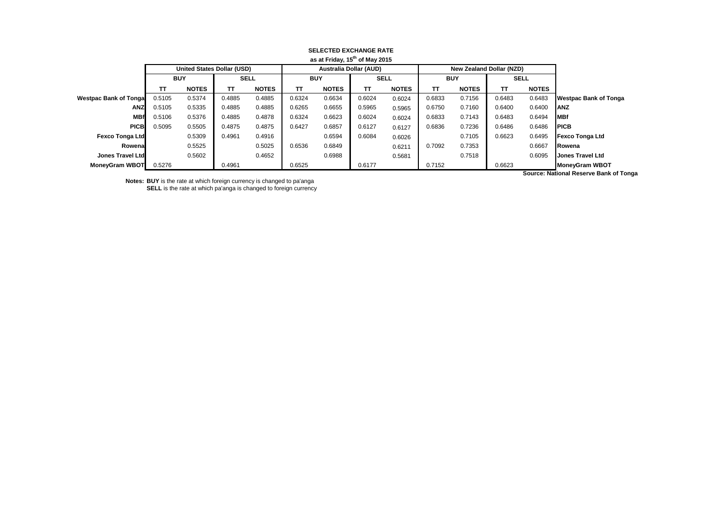| as at Friday, 15" of May 2015 |                                   |              |             |              |            |              |                               |              |            |                                 |             |              |                              |
|-------------------------------|-----------------------------------|--------------|-------------|--------------|------------|--------------|-------------------------------|--------------|------------|---------------------------------|-------------|--------------|------------------------------|
|                               | <b>United States Dollar (USD)</b> |              |             |              |            |              | <b>Australia Dollar (AUD)</b> |              |            | <b>New Zealand Dollar (NZD)</b> |             |              |                              |
|                               | <b>BUY</b>                        |              | <b>SELL</b> |              | <b>BUY</b> |              | <b>SELL</b>                   |              | <b>BUY</b> |                                 | <b>SELL</b> |              |                              |
|                               | тт                                | <b>NOTES</b> | TΤ          | <b>NOTES</b> | тт         | <b>NOTES</b> | ΤТ                            | <b>NOTES</b> | <b>TT</b>  | <b>NOTES</b>                    | TΤ          | <b>NOTES</b> |                              |
| <b>Westpac Bank of Tongal</b> | 0.5105                            | 0.5374       | 0.4885      | 0.4885       | 0.6324     | 0.6634       | 0.6024                        | 0.6024       | 0.6833     | 0.7156                          | 0.6483      | 0.6483       | <b>Westpac Bank of Tonga</b> |
| <b>ANZ</b>                    | 0.5105                            | 0.5335       | 0.4885      | 0.4885       | 0.6265     | 0.6655       | 0.5965                        | 0.5965       | 0.6750     | 0.7160                          | 0.6400      | 0.6400       | <b>IANZ</b>                  |
| <b>MBf</b>                    | 0.5106                            | 0.5376       | 0.4885      | 0.4878       | 0.6324     | 0.6623       | 0.6024                        | 0.6024       | 0.6833     | 0.7143                          | 0.6483      | 0.6494       | <b>IMBf</b>                  |
| <b>PICB</b>                   | 0.5095                            | 0.5505       | 0.4875      | 0.4875       | 0.6427     | 0.6857       | 0.6127                        | 0.6127       | 0.6836     | 0.7236                          | 0.6486      | 0.6486       | <b>IPICB</b>                 |
| <b>Fexco Tonga Ltd</b>        |                                   | 0.5309       | 0.4961      | 0.4916       |            | 0.6594       | 0.6084                        | 0.6026       |            | 0.7105                          | 0.6623      | 0.6495       | <b>Fexco Tonga Ltd</b>       |
| Rowenal                       |                                   | 0.5525       |             | 0.5025       | 0.6536     | 0.6849       |                               | 0.6211       | 0.7092     | 0.7353                          |             | 0.6667       | <b>IRowena</b>               |
| Jones Travel Ltd              |                                   | 0.5602       |             | 0.4652       |            | 0.6988       |                               | 0.5681       |            | 0.7518                          |             | 0.6095       | <b>Jones Travel Ltd</b>      |
| <b>MoneyGram WBOT</b>         | 0.5276                            |              | 0.4961      |              | 0.6525     |              | 0.6177                        |              | 0.7152     |                                 | 0.6623      |              | <b>MoneyGram WBOT</b>        |
|                               |                                   |              |             |              |            |              |                               |              |            |                                 |             |              |                              |

## **SELECTED EXCHANGE RATE as at Friday, 15th of May 2015**

**Notes: BUY** is the rate at which foreign currency is changed to pa'anga **SELL** is the rate at which pa'anga is changed to foreign currency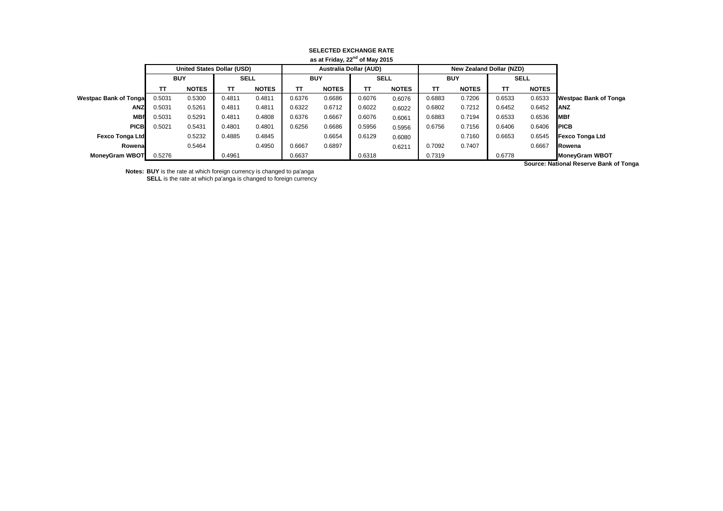| as at Friday, $22nd$ of May 2015 |            |                            |             |              |        |                               |             |              |            |                                 |             |              |                              |
|----------------------------------|------------|----------------------------|-------------|--------------|--------|-------------------------------|-------------|--------------|------------|---------------------------------|-------------|--------------|------------------------------|
|                                  |            | United States Dollar (USD) |             |              |        | <b>Australia Dollar (AUD)</b> |             |              |            | <b>New Zealand Dollar (NZD)</b> |             |              |                              |
|                                  | <b>BUY</b> |                            | <b>SELL</b> |              | BUY    |                               | <b>SELL</b> |              | <b>BUY</b> |                                 | <b>SELL</b> |              |                              |
|                                  | тт         | <b>NOTES</b>               | π           | <b>NOTES</b> | тт     | <b>NOTES</b>                  | тτ          | <b>NOTES</b> | тт         | <b>NOTES</b>                    | TΤ          | <b>NOTES</b> |                              |
| <b>Westpac Bank of Tongal</b>    | 0.5031     | 0.5300                     | 0.4811      | 0.4811       | 0.6376 | 0.6686                        | 0.6076      | 0.6076       | 0.6883     | 0.7206                          | 0.6533      | 0.6533       | <b>Westpac Bank of Tonga</b> |
| <b>ANZ</b>                       | 0.5031     | 0.5261                     | 0.4811      | 0.4811       | 0.6322 | 0.6712                        | 0.6022      | 0.6022       | 0.6802     | 0.7212                          | 0.6452      | 0.6452       | IANZ                         |
| <b>MBf</b>                       | 0.5031     | 0.5291                     | 0.4811      | 0.4808       | 0.6376 | 0.6667                        | 0.6076      | 0.6061       | 0.6883     | 0.7194                          | 0.6533      | 0.6536       | <b>IMBf</b>                  |
| <b>PICB</b>                      | 0.5021     | 0.5431                     | 0.4801      | 0.4801       | 0.6256 | 0.6686                        | 0.5956      | 0.5956       | 0.6756     | 0.7156                          | 0.6406      | 0.6406       | <b>IPICB</b>                 |
| <b>Fexco Tonga Ltd</b>           |            | 0.5232                     | 0.4885      | 0.4845       |        | 0.6654                        | 0.6129      | 0.6080       |            | 0.7160                          | 0.6653      | 0.6545       | <b>Fexco Tonga Ltd</b>       |
| Rowenal                          |            | 0.5464                     |             | 0.4950       | 0.6667 | 0.6897                        |             | 0.6211       | 0.7092     | 0.7407                          |             | 0.6667       | Rowena                       |
| <b>MoneyGram WBOT</b>            | 0.5276     |                            | 0.4961      |              | 0.6637 |                               | 0.6318      |              | 0.7319     |                                 | 0.6778      |              | <b>MoneyGram WBOT</b>        |

## **SELECTED EXCHANGE RATE**

**Notes: BUY** is the rate at which foreign currency is changed to pa'anga

**SELL** is the rate at which pa'anga is changed to foreign currency